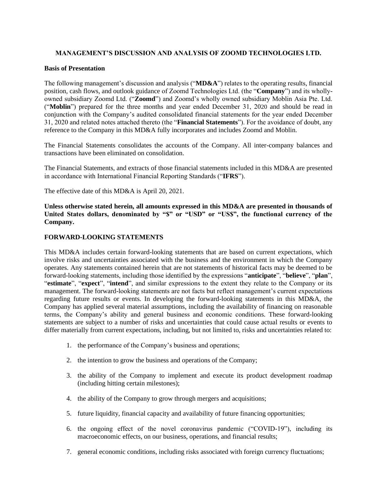# **MANAGEMENT'S DISCUSSION AND ANALYSIS OF ZOOMD TECHNOLOGIES LTD.**

### **Basis of Presentation**

The following management's discussion and analysis ("**MD&A**") relates to the operating results, financial position, cash flows, and outlook guidance of Zoomd Technologies Ltd. (the "**Company**") and its whollyowned subsidiary Zoomd Ltd. ("**Zoomd**") and Zoomd's wholly owned subsidiary Moblin Asia Pte. Ltd. ("**Moblin**") prepared for the three months and year ended December 31, 2020 and should be read in conjunction with the Company's audited consolidated financial statements for the year ended December 31, 2020 and related notes attached thereto (the "**Financial Statements**"). For the avoidance of doubt, any reference to the Company in this MD&A fully incorporates and includes Zoomd and Moblin.

The Financial Statements consolidates the accounts of the Company. All inter-company balances and transactions have been eliminated on consolidation.

The Financial Statements, and extracts of those financial statements included in this MD&A are presented in accordance with International Financial Reporting Standards ("**IFRS**").

The effective date of this MD&A is April 20, 2021.

**Unless otherwise stated herein, all amounts expressed in this MD&A are presented in thousands of**  United States dollars, denominated by "\$" or "USD" or "US\$", the functional currency of the **Company.**

# **FORWARD-LOOKING STATEMENTS**

This MD&A includes certain forward-looking statements that are based on current expectations, which involve risks and uncertainties associated with the business and the environment in which the Company operates. Any statements contained herein that are not statements of historical facts may be deemed to be forward-looking statements, including those identified by the expressions "**anticipate**", "**believe**", "**plan**", "**estimate**", "**expect**", "**intend**", and similar expressions to the extent they relate to the Company or its management. The forward-looking statements are not facts but reflect management's current expectations regarding future results or events. In developing the forward-looking statements in this MD&A, the Company has applied several material assumptions, including the availability of financing on reasonable terms, the Company's ability and general business and economic conditions. These forward-looking statements are subject to a number of risks and uncertainties that could cause actual results or events to differ materially from current expectations, including, but not limited to, risks and uncertainties related to:

- 1. the performance of the Company's business and operations;
- 2. the intention to grow the business and operations of the Company;
- 3. the ability of the Company to implement and execute its product development roadmap (including hitting certain milestones);
- 4. the ability of the Company to grow through mergers and acquisitions;
- 5. future liquidity, financial capacity and availability of future financing opportunities;
- 6. the ongoing effect of the novel coronavirus pandemic ("COVID-19"), including its macroeconomic effects, on our business, operations, and financial results;
- 7. general economic conditions, including risks associated with foreign currency fluctuations;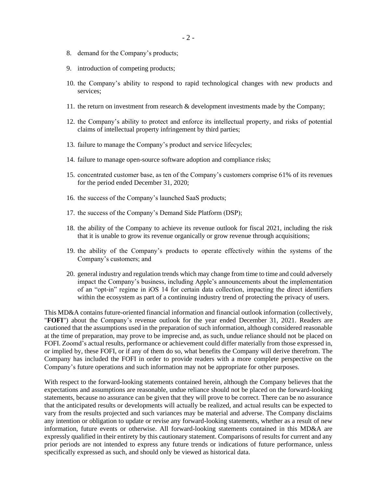- 8. demand for the Company's products;
- 9. introduction of competing products;
- 10. the Company's ability to respond to rapid technological changes with new products and services;
- 11. the return on investment from research & development investments made by the Company;
- 12. the Company's ability to protect and enforce its intellectual property, and risks of potential claims of intellectual property infringement by third parties;
- 13. failure to manage the Company's product and service lifecycles;
- 14. failure to manage open-source software adoption and compliance risks;
- 15. concentrated customer base, as ten of the Company's customers comprise 61% of its revenues for the period ended December 31, 2020;
- 16. the success of the Company's launched SaaS products;
- 17. the success of the Company's Demand Side Platform (DSP);
- 18. the ability of the Company to achieve its revenue outlook for fiscal 2021, including the risk that it is unable to grow its revenue organically or grow revenue through acquisitions;
- 19. the ability of the Company's products to operate effectively within the systems of the Company's customers; and
- 20. general industry and regulation trends which may change from time to time and could adversely impact the Company's business, including Apple's announcements about the implementation of an "opt-in" regime in iOS 14 for certain data collection, impacting the direct identifiers within the ecosystem as part of a continuing industry trend of protecting the privacy of users.

This MD&A contains future-oriented financial information and financial outlook information (collectively, "**FOFI**") about the Company's revenue outlook for the year ended December 31, 2021. Readers are cautioned that the assumptions used in the preparation of such information, although considered reasonable at the time of preparation, may prove to be imprecise and, as such, undue reliance should not be placed on FOFI. Zoomd's actual results, performance or achievement could differ materially from those expressed in, or implied by, these FOFI, or if any of them do so, what benefits the Company will derive therefrom. The Company has included the FOFI in order to provide readers with a more complete perspective on the Company's future operations and such information may not be appropriate for other purposes.

With respect to the forward-looking statements contained herein, although the Company believes that the expectations and assumptions are reasonable, undue reliance should not be placed on the forward-looking statements, because no assurance can be given that they will prove to be correct. There can be no assurance that the anticipated results or developments will actually be realized, and actual results can be expected to vary from the results projected and such variances may be material and adverse. The Company disclaims any intention or obligation to update or revise any forward-looking statements, whether as a result of new information, future events or otherwise. All forward-looking statements contained in this MD&A are expressly qualified in their entirety by this cautionary statement. Comparisons of results for current and any prior periods are not intended to express any future trends or indications of future performance, unless specifically expressed as such, and should only be viewed as historical data.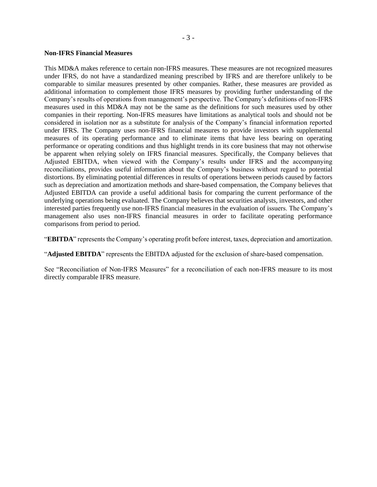#### **Non-IFRS Financial Measures**

This MD&A makes reference to certain non-IFRS measures. These measures are not recognized measures under IFRS, do not have a standardized meaning prescribed by IFRS and are therefore unlikely to be comparable to similar measures presented by other companies. Rather, these measures are provided as additional information to complement those IFRS measures by providing further understanding of the Company's results of operations from management's perspective. The Company's definitions of non-IFRS measures used in this MD&A may not be the same as the definitions for such measures used by other companies in their reporting. Non-IFRS measures have limitations as analytical tools and should not be considered in isolation nor as a substitute for analysis of the Company's financial information reported under IFRS. The Company uses non-IFRS financial measures to provide investors with supplemental measures of its operating performance and to eliminate items that have less bearing on operating performance or operating conditions and thus highlight trends in its core business that may not otherwise be apparent when relying solely on IFRS financial measures. Specifically, the Company believes that Adjusted EBITDA, when viewed with the Company's results under IFRS and the accompanying reconciliations, provides useful information about the Company's business without regard to potential distortions. By eliminating potential differences in results of operations between periods caused by factors such as depreciation and amortization methods and share-based compensation, the Company believes that Adjusted EBITDA can provide a useful additional basis for comparing the current performance of the underlying operations being evaluated. The Company believes that securities analysts, investors, and other interested parties frequently use non-IFRS financial measures in the evaluation of issuers. The Company's management also uses non-IFRS financial measures in order to facilitate operating performance comparisons from period to period.

"**EBITDA**" represents the Company's operating profit before interest, taxes, depreciation and amortization.

"**Adjusted EBITDA**" represents the EBITDA adjusted for the exclusion of share-based compensation.

See "Reconciliation of Non-IFRS Measures" for a reconciliation of each non-IFRS measure to its most directly comparable IFRS measure.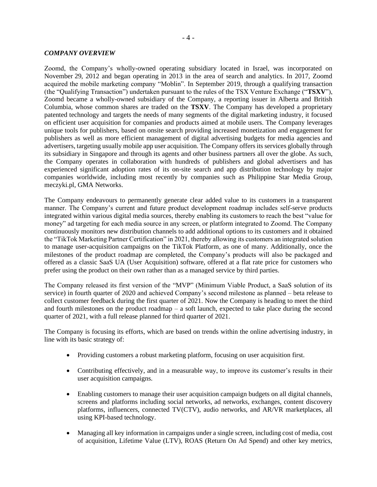### *COMPANY OVERVIEW*

Zoomd, the Company's wholly-owned operating subsidiary located in Israel, was incorporated on November 29, 2012 and began operating in 2013 in the area of search and analytics. In 2017, Zoomd acquired the mobile marketing company "Moblin". In September 2019, through a qualifying transaction (the "Qualifying Transaction") undertaken pursuant to the rules of the TSX Venture Exchange ("**TSXV**"), Zoomd became a wholly-owned subsidiary of the Company, a reporting issuer in Alberta and British Columbia, whose common shares are traded on the **TSXV**. The Company has developed a proprietary patented technology and targets the needs of many segments of the digital marketing industry, it focused on efficient user acquisition for companies and products aimed at mobile users. The Company leverages unique tools for publishers, based on onsite search providing increased monetization and engagement for publishers as well as more efficient management of digital advertising budgets for media agencies and advertisers, targeting usually mobile app user acquisition. The Company offers its services globally through its subsidiary in Singapore and through its agents and other business partners all over the globe. As such, the Company operates in collaboration with hundreds of publishers and global advertisers and has experienced significant adoption rates of its on-site search and app distribution technology by major companies worldwide, including most recently by companies such as Philippine Star Media Group, meczyki.pl, GMA Networks.

The Company endeavours to permanently generate clear added value to its customers in a transparent manner. The Company's current and future product development roadmap includes self-serve products integrated within various digital media sources, thereby enabling its customers to reach the best "value for money" ad targeting for each media source in any screen, or platform integrated to Zoomd. The Company continuously monitors new distribution channels to add additional options to its customers and it obtained the "TikTok Marketing Partner Certification" in 2021, thereby allowing its customers an integrated solution to manage user-acquisition campaigns on the TikTok Platform, as one of many. Additionally, once the milestones of the product roadmap are completed, the Company's products will also be packaged and offered as a classic SaaS UA (User Acquisition) software, offered at a flat rate price for customers who prefer using the product on their own rather than as a managed service by third parties.

The Company released its first version of the "MVP" (Minimum Viable Product, a SaaS solution of its service) in fourth quarter of 2020 and achieved Company's second milestone as planned – beta release to collect customer feedback during the first quarter of 2021. Now the Company is heading to meet the third and fourth milestones on the product roadmap – a soft launch, expected to take place during the second quarter of 2021, with a full release planned for third quarter of 2021.

The Company is focusing its efforts, which are based on trends within the online advertising industry, in line with its basic strategy of:

- Providing customers a robust marketing platform, focusing on user acquisition first.
- Contributing effectively, and in a measurable way, to improve its customer's results in their user acquisition campaigns.
- Enabling customers to manage their user acquisition campaign budgets on all digital channels, screens and platforms including social networks, ad networks, exchanges, content discovery platforms, influencers, connected TV(CTV), audio networks, and AR/VR marketplaces, all using KPI-based technology.
- Managing all key information in campaigns under a single screen, including cost of media, cost of acquisition, Lifetime Value (LTV), ROAS (Return On Ad Spend) and other key metrics,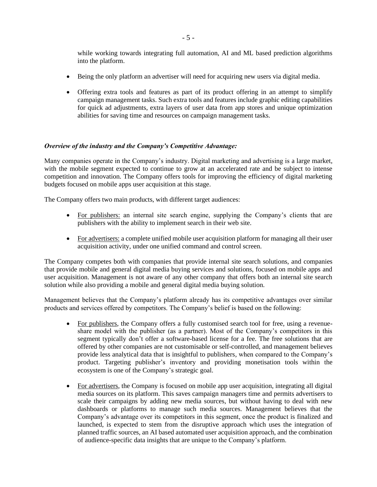while working towards integrating full automation, AI and ML based prediction algorithms into the platform.

- Being the only platform an advertiser will need for acquiring new users via digital media.
- Offering extra tools and features as part of its product offering in an attempt to simplify campaign management tasks. Such extra tools and features include graphic editing capabilities for quick ad adjustments, extra layers of user data from app stores and unique optimization abilities for saving time and resources on campaign management tasks.

### *Overview of the industry and the Company's Competitive Advantage:*

Many companies operate in the Company's industry. Digital marketing and advertising is a large market, with the mobile segment expected to continue to grow at an accelerated rate and be subject to intense competition and innovation. The Company offers tools for improving the efficiency of digital marketing budgets focused on mobile apps user acquisition at this stage.

The Company offers two main products, with different target audiences:

- For publishers: an internal site search engine, supplying the Company's clients that are publishers with the ability to implement search in their web site.
- For advertisers: a complete unified mobile user acquisition platform for managing all their user acquisition activity, under one unified command and control screen.

The Company competes both with companies that provide internal site search solutions, and companies that provide mobile and general digital media buying services and solutions, focused on mobile apps and user acquisition. Management is not aware of any other company that offers both an internal site search solution while also providing a mobile and general digital media buying solution.

Management believes that the Company's platform already has its competitive advantages over similar products and services offered by competitors. The Company's belief is based on the following:

- For publishers, the Company offers a fully customised search tool for free, using a revenueshare model with the publisher (as a partner). Most of the Company's competitors in this segment typically don't offer a software-based license for a fee. The free solutions that are offered by other companies are not customisable or self-controlled, and management believes provide less analytical data that is insightful to publishers, when compared to the Company's product. Targeting publisher's inventory and providing monetisation tools within the ecosystem is one of the Company's strategic goal.
- For advertisers, the Company is focused on mobile app user acquisition, integrating all digital media sources on its platform. This saves campaign managers time and permits advertisers to scale their campaigns by adding new media sources, but without having to deal with new dashboards or platforms to manage such media sources. Management believes that the Company's advantage over its competitors in this segment, once the product is finalized and launched, is expected to stem from the disruptive approach which uses the integration of planned traffic sources, an AI based automated user acquisition approach, and the combination of audience-specific data insights that are unique to the Company's platform.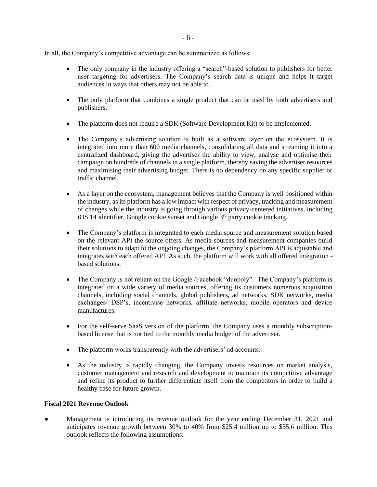In all, the Company's competitive advantage can be summarized as follows:

- The only company in the industry offering a "search"-based solution to publishers for better user targeting for advertisers. The Company's search data is unique and helps it target audiences in ways that others may not be able to.
- The only platform that combines a single product that can be used by both advertisers and publishers.
- The platform does not require a SDK (Software Development Kit) to be implemented.
- The Company's advertising solution is built as a software layer on the ecosystem. It is integrated into more than 600 media channels, consolidating all data and streaming it into a centralized dashboard, giving the advertiser the ability to view, analyse and optimise their campaign on hundreds of channels in a single platform, thereby saving the advertiser resources and maximising their advertising budget. There is no dependency on any specific supplier or traffic channel.
- As a layer on the ecosystem, management believes that the Company is well positioned within the industry, as its platform has a low impact with respect of privacy, tracking and measurement of changes while the industry is going through various privacy-centered initiatives, including iOS 14 identifier, Google cookie sunset and Google  $3<sup>rd</sup>$  party cookie tracking.
- The Company's platform is integrated to each media source and measurement solution based on the relevant API the source offers. As media sources and measurement companies build their solutions to adapt to the ongoing changes, the Company's platform API is adjustable and integrates with each offered API. As such, the platform will work with all offered integration based solutions.
- The Company is not reliant on the Google /Facebook "duopoly". The Company's platform is integrated on a wide variety of media sources, offering its customers numerous acquisition channels, including social channels, global publishers, ad networks, SDK networks, media exchanges/ DSP's, incentivise networks, affiliate networks, mobile operators and device manufactures.
- For the self-serve SaaS version of the platform, the Company uses a monthly subscriptionbased license that is not tied to the monthly media budget of the advertiser.
- The platform works transparently with the advertisers' ad accounts.
- As the industry is rapidly changing, the Company invests resources on market analysis, customer management and research and development to maintain its competitive advantage and refine its product to further differentiate itself from the competitors in order to build a healthy base for future growth.

# **Fiscal 2021 Revenue Outlook**

• Management is introducing its revenue outlook for the year ending December 31, 2021 and anticipates revenue growth between 30% to 40% from \$25.4 million up to \$35.6 million. This outlook reflects the following assumptions: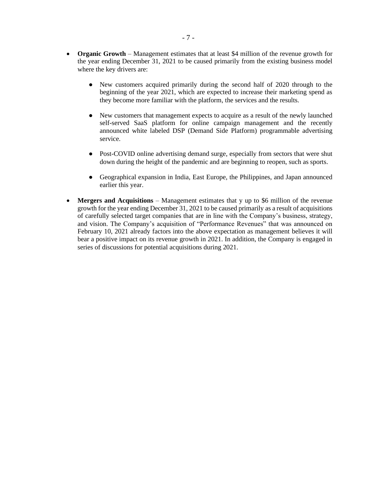- **Organic Growth** Management estimates that at least \$4 million of the revenue growth for the year ending December 31, 2021 to be caused primarily from the existing business model where the key drivers are:
	- New customers acquired primarily during the second half of 2020 through to the beginning of the year 2021, which are expected to increase their marketing spend as they become more familiar with the platform, the services and the results.
	- New customers that management expects to acquire as a result of the newly launched self-served SaaS platform for online campaign management and the recently announced white labeled DSP (Demand Side Platform) programmable advertising service.
	- Post-COVID online advertising demand surge, especially from sectors that were shut down during the height of the pandemic and are beginning to reopen, such as sports.
	- Geographical expansion in India, East Europe, the Philippines, and Japan announced earlier this year.
- Mergers and Acquisitions Management estimates that y up to \$6 million of the revenue growth for the year ending December 31, 2021 to be caused primarily as a result of acquisitions of carefully selected target companies that are in line with the Company's business, strategy, and vision. The Company's acquisition of "Performance Revenues" that was announced on February 10, 2021 already factors into the above expectation as management believes it will bear a positive impact on its revenue growth in 2021. In addition, the Company is engaged in series of discussions for potential acquisitions during 2021.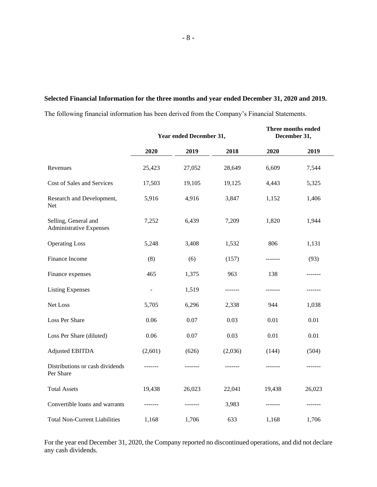# **Selected Financial Information for the three months and year ended December 31, 2020 and 2019.**

The following financial information has been derived from the Company's Financial Statements.

|                                                        | Year ended December 31,  |         |         | Three months ended<br>December 31, |        |  |
|--------------------------------------------------------|--------------------------|---------|---------|------------------------------------|--------|--|
|                                                        | 2020                     | 2019    | 2018    | 2020                               | 2019   |  |
| Revenues                                               | 25,423                   | 27,052  | 28,649  | 6,609                              | 7,544  |  |
| Cost of Sales and Services                             | 17,503                   | 19,105  | 19,125  | 4,443                              | 5,325  |  |
| Research and Development,<br>Net                       | 5,916                    | 4,916   | 3,847   | 1,152                              | 1,406  |  |
| Selling, General and<br><b>Administrative Expenses</b> | 7,252                    | 6,439   | 7,209   | 1,820                              | 1,944  |  |
| <b>Operating Loss</b>                                  | 5,248                    | 3,408   | 1,532   | 806                                | 1,131  |  |
| Finance Income                                         | (8)                      | (6)     | (157)   |                                    | (93)   |  |
| Finance expenses                                       | 465                      | 1,375   | 963     | 138                                |        |  |
| <b>Listing Expenses</b>                                | $\overline{\phantom{a}}$ | 1,519   | ------- | -------                            |        |  |
| Net Loss                                               | 5,705                    | 6,296   | 2,338   | 944                                | 1,038  |  |
| Loss Per Share                                         | 0.06                     | 0.07    | 0.03    | $0.01\,$                           | 0.01   |  |
| Loss Per Share (diluted)                               | 0.06                     | 0.07    | 0.03    | 0.01                               | 0.01   |  |
| <b>Adjusted EBITDA</b>                                 | (2,601)                  | (626)   | (2,036) | (144)                              | (504)  |  |
| Distributions or cash dividends<br>Per Share           |                          |         |         |                                    |        |  |
| <b>Total Assets</b>                                    | 19,438                   | 26,023  | 22,041  | 19,438                             | 26,023 |  |
| Convertible loans and warrants                         | -------                  | ------- | 3,983   | -------                            |        |  |
| <b>Total Non-Current Liabilities</b>                   | 1,168                    | 1,706   | 633     | 1,168                              | 1,706  |  |

For the year end December 31, 2020, the Company reported no discontinued operations, and did not declare any cash dividends.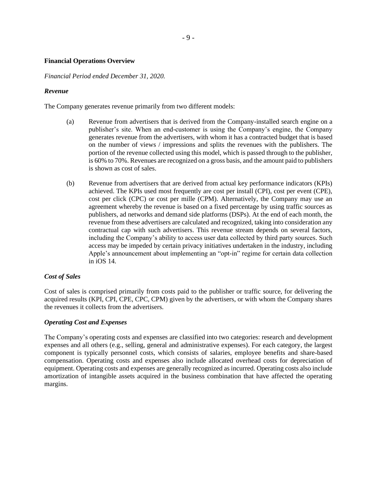# **Financial Operations Overview**

*Financial Period ended December 31, 2020.*

### *Revenue*

The Company generates revenue primarily from two different models:

- (a) Revenue from advertisers that is derived from the Company-installed search engine on a publisher's site. When an end-customer is using the Company's engine, the Company generates revenue from the advertisers, with whom it has a contracted budget that is based on the number of views / impressions and splits the revenues with the publishers. The portion of the revenue collected using this model, which is passed through to the publisher, is 60% to 70%. Revenues are recognized on a gross basis, and the amount paid to publishers is shown as cost of sales.
- (b) Revenue from advertisers that are derived from actual key performance indicators (KPIs) achieved. The KPIs used most frequently are cost per install (CPI), cost per event (CPE), cost per click (CPC) or cost per mille (CPM). Alternatively, the Company may use an agreement whereby the revenue is based on a fixed percentage by using traffic sources as publishers, ad networks and demand side platforms (DSPs). At the end of each month, the revenue from these advertisers are calculated and recognized, taking into consideration any contractual cap with such advertisers. This revenue stream depends on several factors, including the Company's ability to access user data collected by third party sources. Such access may be impeded by certain privacy initiatives undertaken in the industry, including Apple's announcement about implementing an "opt-in" regime for certain data collection in iOS 14.

# *Cost of Sales*

Cost of sales is comprised primarily from costs paid to the publisher or traffic source, for delivering the acquired results (KPI, CPI, CPE, CPC, CPM) given by the advertisers, or with whom the Company shares the revenues it collects from the advertisers.

# *Operating Cost and Expenses*

The Company's operating costs and expenses are classified into two categories: research and development expenses and all others (e.g., selling, general and administrative expenses). For each category, the largest component is typically personnel costs, which consists of salaries, employee benefits and share-based compensation. Operating costs and expenses also include allocated overhead costs for depreciation of equipment. Operating costs and expenses are generally recognized as incurred. Operating costs also include amortization of intangible assets acquired in the business combination that have affected the operating margins.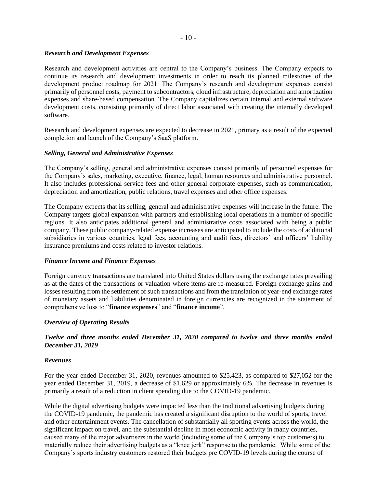# $-10-$

# *Research and Development Expenses*

Research and development activities are central to the Company's business. The Company expects to continue its research and development investments in order to reach its planned milestones of the development product roadmap for 2021. The Company's research and development expenses consist primarily of personnel costs, payment to subcontractors, cloud infrastructure, depreciation and amortization expenses and share-based compensation. The Company capitalizes certain internal and external software development costs, consisting primarily of direct labor associated with creating the internally developed software.

Research and development expenses are expected to decrease in 2021, primary as a result of the expected completion and launch of the Company's SaaS platform.

### *Selling, General and Administrative Expenses*

The Company's selling, general and administrative expenses consist primarily of personnel expenses for the Company's sales, marketing, executive, finance, legal, human resources and administrative personnel. It also includes professional service fees and other general corporate expenses, such as communication, depreciation and amortization, public relations, travel expenses and other office expenses.

The Company expects that its selling, general and administrative expenses will increase in the future. The Company targets global expansion with partners and establishing local operations in a number of specific regions. It also anticipates additional general and administrative costs associated with being a public company. These public company-related expense increases are anticipated to include the costs of additional subsidiaries in various countries, legal fees, accounting and audit fees, directors' and officers' liability insurance premiums and costs related to investor relations.

### *Finance Income and Finance Expenses*

Foreign currency transactions are translated into United States dollars using the exchange rates prevailing as at the dates of the transactions or valuation where items are re-measured. Foreign exchange gains and losses resulting from the settlement of such transactions and from the translation of year-end exchange rates of monetary assets and liabilities denominated in foreign currencies are recognized in the statement of comprehensive loss to "**finance expenses**" and "**finance income**".

### *Overview of Operating Results*

# *Twelve and three months ended December 31, 2020 compared to twelve and three months ended December 31, 2019*

### *Revenues*

For the year ended December 31, 2020, revenues amounted to \$25,423, as compared to \$27,052 for the year ended December 31, 2019, a decrease of \$1,629 or approximately 6%. The decrease in revenues is primarily a result of a reduction in client spending due to the COVID-19 pandemic.

While the digital advertising budgets were impacted less than the traditional advertising budgets during the COVID-19 pandemic, the pandemic has created a significant disruption to the world of sports, travel and other entertainment events. The cancellation of substantially all sporting events across the world, the significant impact on travel, and the substantial decline in most economic activity in many countries, caused many of the major advertisers in the world (including some of the Company's top customers) to materially reduce their advertising budgets as a "knee jerk" response to the pandemic. While some of the Company's sports industry customers restored their budgets pre COVID-19 levels during the course of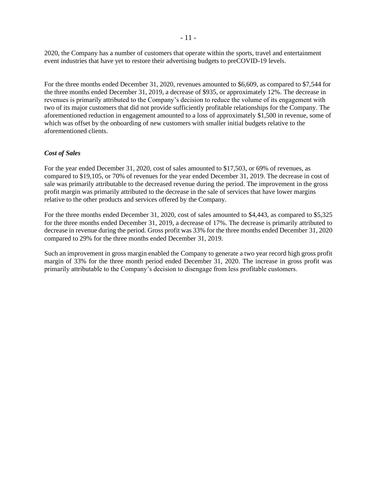2020, the Company has a number of customers that operate within the sports, travel and entertainment event industries that have yet to restore their advertising budgets to preCOVID-19 levels.

For the three months ended December 31, 2020, revenues amounted to \$6,609, as compared to \$7,544 for the three months ended December 31, 2019, a decrease of \$935, or approximately 12%. The decrease in revenues is primarily attributed to the Company's decision to reduce the volume of its engagement with two of its major customers that did not provide sufficiently profitable relationships for the Company. The aforementioned reduction in engagement amounted to a loss of approximately \$1,500 in revenue, some of which was offset by the onboarding of new customers with smaller initial budgets relative to the aforementioned clients.

### *Cost of Sales*

For the year ended December 31, 2020, cost of sales amounted to \$17,503, or 69% of revenues, as compared to \$19,105, or 70% of revenues for the year ended December 31, 2019. The decrease in cost of sale was primarily attributable to the decreased revenue during the period. The improvement in the gross profit margin was primarily attributed to the decrease in the sale of services that have lower margins relative to the other products and services offered by the Company.

For the three months ended December 31, 2020, cost of sales amounted to \$4,443, as compared to \$5,325 for the three months ended December 31, 2019, a decrease of 17%. The decrease is primarily attributed to decrease in revenue during the period. Gross profit was 33% for the three months ended December 31, 2020 compared to 29% for the three months ended December 31, 2019.

Such an improvement in gross margin enabled the Company to generate a two year record high gross profit margin of 33% for the three month period ended December 31, 2020. The increase in gross profit was primarily attributable to the Company's decision to disengage from less profitable customers.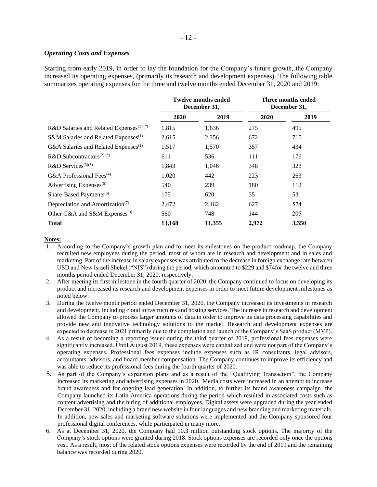# *Operating Costs and Expenses*

Starting from early 2019, in order to lay the foundation for the Company's future growth, the Company increased its operating expenses, (primarily its research and development expenses). The following table summarizes operating expenses for the three and twelve months ended December 31, 2020 and 2019:

|                                                           | <b>Twelve months ended</b><br>December 31, |        | Three months ended<br>December 31, |       |  |
|-----------------------------------------------------------|--------------------------------------------|--------|------------------------------------|-------|--|
|                                                           | 2020                                       | 2019   | 2020                               | 2019  |  |
| R&D Salaries and Related Expenses <sup>(1)(*)</sup>       | 1,815                                      | 1,636  | 275                                | 495   |  |
| S&M Salaries and Related Expenses <sup>(1)</sup>          | 2,615                                      | 2,356  | 672                                | 715   |  |
| G&A Salaries and Related Expenses <sup>(1)</sup>          | 1,517                                      | 1,570  | 357                                | 434   |  |
| R&D Subcontractors <sup>(2)(*)</sup>                      | 611                                        | 536    | 111                                | 176   |  |
| R&D Services $(3)(*)$                                     | 1,843                                      | 1,046  | 348                                | 323   |  |
| G&A Professional Fees <sup>(4)</sup>                      | 1,020                                      | 442    | 223                                | 263   |  |
| Advertising Expenses $(5)$                                | 540                                        | 239    | 180                                | 112   |  |
| Share-Based Payments <sup>(6)</sup>                       | 175                                        | 620    | 35                                 | 53    |  |
| Depreciation and Amortization <sup><math>(7)</math></sup> | 2,472                                      | 2,162  | 627                                | 574   |  |
| Other G&A and S&M Expenses <sup>(8)</sup>                 | 560                                        | 748    | 144                                | 205   |  |
| <b>Total</b>                                              | 13,168                                     | 11,355 | 2,972                              | 3,350 |  |

#### **Notes:**

- 1. According to the Company's growth plan and to meet its milestones on the product roadmap, the Company recruited new employees during the period, most of whom are in research and development and in sales and marketing. Part of the increase in salary expenses was attributed to the decrease in foreign exchange rate between USD and New Israeli Shekel ("NIS") during the period, which amounted to \$229 and \$74for the twelve and three months period ended December 31, 2020, respectively.
- 2. After meeting its first milestone in the fourth quarter of 2020, the Company continued to focus on developing its product and increased its research and development expenses in order to meet future development milestones as noted below.
- 3. During the twelve month period ended December 31, 2020, the Company increased its investments in research and development, including cloud infrastructures and hosting services. The increase in research and development allowed the Company to process larger amounts of data in order to improve its data processing capabilities and provide new and innovative technology solutions to the market. Research and development expenses are expected to decrease in 2021 primarily due to the completion and launch of the Company's SaaS product (MVP).
- 4. As a result of becoming a reporting issuer during the third quarter of 2019, professional fees expenses were significantly increased. Until August 2019, these expenses were capitalized and were not part of the Company's operating expenses. Professional fees expenses include expenses such as IR consultants, legal advisors, accountants, advisors, and board member compensation. The Company continues to improve its efficiency and was able to reduce its professional fees during the fourth quarter of 2020.
- 5. As part of the Company's expansion plans and as a result of the "Qualifying Transaction", the Company increased its marketing and advertising expenses in 2020. Media costs were increased in an attempt to increase brand awareness and for ongoing lead generation. In addition, to further its brand awareness campaign, the Company launched its Latin America operations during the period which resulted in associated costs such as content advertising and the hiring of additional employees. Digital assets were upgraded during the year ended December 31, 2020, including a brand new website in four languages and new branding and marketing materials. In addition, new sales and marketing software solutions were implemented and the Company sponsored four professional digital conferences, while participated in many more.
- 6. As at December 31, 2020, the Company had 10.3 million outstanding stock options. The majority of the Company's stock options were granted during 2018. Stock options expenses are recorded only once the options vest. As a result, most of the related stock options expenses were recorded by the end of 2019 and the remaining balance was recorded during 2020.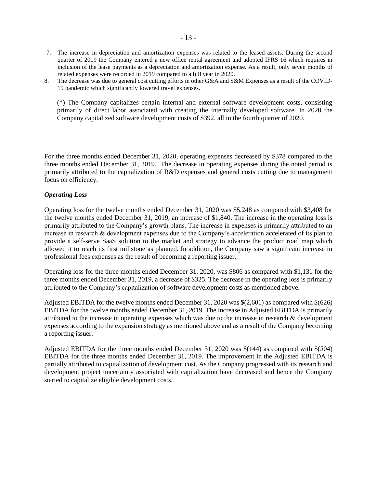- 7. The increase in depreciation and amortization expenses was related to the leased assets. During the second quarter of 2019 the Company entered a new office rental agreement and adopted IFRS 16 which requires in inclusion of the lease payments as a depreciation and amortization expense. As a result, only seven months of related expenses were recorded in 2019 compared to a full year in 2020.
- 8. The decrease was due to general cost cutting efforts in other G&A and S&M Expenses as a result of the COVID-19 pandemic which significantly lowered travel expenses.

(\*) The Company capitalizes certain internal and external software development costs, consisting primarily of direct labor associated with creating the internally developed software. In 2020 the Company capitalized software development costs of \$392, all in the fourth quarter of 2020.

For the three months ended December 31, 2020, operating expenses decreased by \$378 compared to the three months ended December 31, 2019. The decrease in operating expenses during the noted period is primarily attributed to the capitalization of R&D expenses and general costs cutting due to management focus on efficiency.

### *Operating Loss*

Operating loss for the twelve months ended December 31, 2020 was \$5,248 as compared with \$3,408 for the twelve months ended December 31, 2019, an increase of \$1,840. The increase in the operating loss is primarily attributed to the Company's growth plans. The increase in expenses is primarily attributed to an increase in research & development expenses due to the Company's acceleration accelerated of its plan to provide a self-serve SaaS solution to the market and strategy to advance the product road map which allowed it to reach its first millstone as planned. In addition, the Company saw a significant increase in professional fees expenses as the result of becoming a reporting issuer.

Operating loss for the three months ended December 31, 2020, was \$806 as compared with \$1,131 for the three months ended December 31, 2019, a decrease of \$325. The decrease in the operating loss is primarily attributed to the Company's capitalization of software development costs as mentioned above.

Adjusted EBITDA for the twelve months ended December 31, 2020 was \$(2,601) as compared with \$(626) EBITDA for the twelve months ended December 31, 2019. The increase in Adjusted EBITDA is primarily attributed to the increase in operating expenses which was due to the increase in research & development expenses according to the expansion strategy as mentioned above and as a result of the Company becoming a reporting issuer.

Adjusted EBITDA for the three months ended December 31, 2020 was \$(144) as compared with \$(504) EBITDA for the three months ended December 31, 2019. The improvement in the Adjusted EBITDA is partially attributed to capitalization of development cost. As the Company progressed with its research and development project uncertainty associated with capitalization have decreased and hence the Company started to capitalize eligible development costs.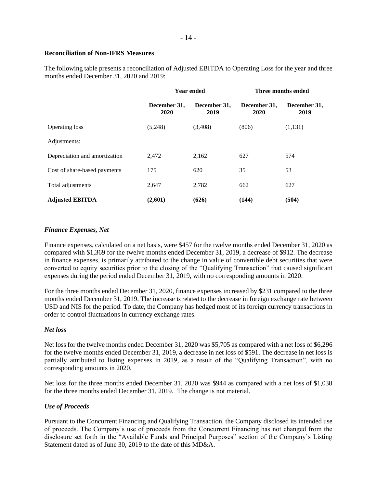# **Reconciliation of Non-IFRS Measures**

The following table presents a reconciliation of Adjusted EBITDA to Operating Loss for the year and three months ended December 31, 2020 and 2019:

|                               |                      | <b>Year ended</b>    | Three months ended   |                      |  |
|-------------------------------|----------------------|----------------------|----------------------|----------------------|--|
|                               | December 31,<br>2020 | December 31,<br>2019 | December 31,<br>2020 | December 31,<br>2019 |  |
| <b>Operating loss</b>         | (5,248)              | (3,408)              | (806)                | (1,131)              |  |
| Adjustments:                  |                      |                      |                      |                      |  |
| Depreciation and amortization | 2,472                | 2,162                | 627                  | 574                  |  |
| Cost of share-based payments  | 175                  | 620                  | 35                   | 53                   |  |
| Total adjustments             | 2,647                | 2,782                | 662                  | 627                  |  |
| <b>Adjusted EBITDA</b>        | (2,601)              | (626)                | (144)                | (504)                |  |

# *Finance Expenses, Net*

Finance expenses, calculated on a net basis, were \$457 for the twelve months ended December 31, 2020 as compared with \$1,369 for the twelve months ended December 31, 2019, a decrease of \$912. The decrease in finance expenses, is primarily attributed to the change in value of convertible debt securities that were converted to equity securities prior to the closing of the "Qualifying Transaction" that caused significant expenses during the period ended December 31, 2019, with no corresponding amounts in 2020.

For the three months ended December 31, 2020, finance expenses increased by \$231 compared to the three months ended December 31, 2019. The increase is related to the decrease in foreign exchange rate between USD and NIS for the period. To date, the Company has hedged most of its foreign currency transactions in order to control fluctuations in currency exchange rates.

# *Net loss*

Net loss for the twelve months ended December 31, 2020 was \$5,705 as compared with a net loss of \$6,296 for the twelve months ended December 31, 2019, a decrease in net loss of \$591. The decrease in net loss is partially attributed to listing expenses in 2019, as a result of the "Qualifying Transaction", with no corresponding amounts in 2020.

Net loss for the three months ended December 31, 2020 was \$944 as compared with a net loss of \$1,038 for the three months ended December 31, 2019. The change is not material.

# *Use of Proceeds*

Pursuant to the Concurrent Financing and Qualifying Transaction, the Company disclosed its intended use of proceeds. The Company's use of proceeds from the Concurrent Financing has not changed from the disclosure set forth in the "Available Funds and Principal Purposes" section of the Company's Listing Statement dated as of June 30, 2019 to the date of this MD&A.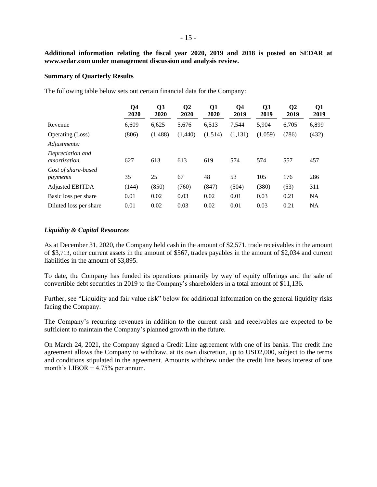**Additional information relating the fiscal year 2020, 2019 and 2018 is posted on SEDAR at www.sedar.com under management discussion and analysis review.**

#### **Summary of Quarterly Results**

The following table below sets out certain financial data for the Company:

|                                  | Q <sub>4</sub><br>2020 | Q <sub>3</sub><br>2020 | Q <sub>2</sub><br>2020 | Q1<br>2020 | Q4<br>2019 | Q <sub>3</sub><br>2019 | Q <sub>2</sub><br>2019 | Q <sub>1</sub><br>2019 |
|----------------------------------|------------------------|------------------------|------------------------|------------|------------|------------------------|------------------------|------------------------|
| Revenue                          | 6,609                  | 6,625                  | 5,676                  | 6,513      | 7,544      | 5,904                  | 6,705                  | 6,899                  |
| Operating (Loss)                 | (806)                  | (1,488)                | (1,440)                | (1,514)    | (1,131)    | (1,059)                | (786)                  | (432)                  |
| Adjustments:                     |                        |                        |                        |            |            |                        |                        |                        |
| Depreciation and<br>amortization | 627                    | 613                    | 613                    | 619        | 574        | 574                    | 557                    | 457                    |
| Cost of share-based<br>payments  | 35                     | 25                     | 67                     | 48         | 53         | 105                    | 176                    | 286                    |
| <b>Adjusted EBITDA</b>           | (144)                  | (850)                  | (760)                  | (847)      | (504)      | (380)                  | (53)                   | 311                    |
| Basic loss per share             | 0.01                   | 0.02                   | 0.03                   | 0.02       | 0.01       | 0.03                   | 0.21                   | <b>NA</b>              |
| Diluted loss per share           | 0.01                   | 0.02                   | 0.03                   | 0.02       | 0.01       | 0.03                   | 0.21                   | <b>NA</b>              |

# *Liquidity & Capital Resources*

As at December 31, 2020, the Company held cash in the amount of \$2,571, trade receivables in the amount of \$3,713, other current assets in the amount of \$567, trades payables in the amount of \$2,034 and current liabilities in the amount of \$3,895.

To date, the Company has funded its operations primarily by way of equity offerings and the sale of convertible debt securities in 2019 to the Company's shareholders in a total amount of \$11,136.

Further, see "Liquidity and fair value risk" below for additional information on the general liquidity risks facing the Company.

The Company's recurring revenues in addition to the current cash and receivables are expected to be sufficient to maintain the Company's planned growth in the future.

On March 24, 2021, the Company signed a Credit Line agreement with one of its banks. The credit line agreement allows the Company to withdraw, at its own discretion, up to USD2,000, subject to the terms and conditions stipulated in the agreement. Amounts withdrew under the credit line bears interest of one month's LIBOR + 4.75% per annum.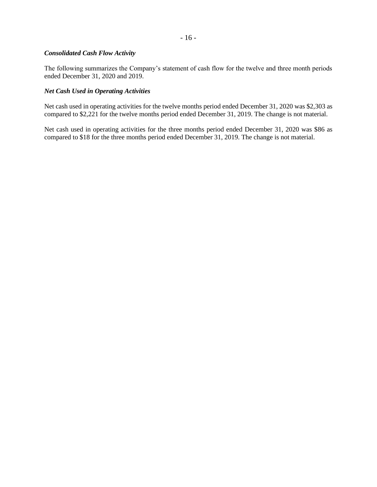# - 16 -

### *Consolidated Cash Flow Activity*

The following summarizes the Company's statement of cash flow for the twelve and three month periods ended December 31, 2020 and 2019.

# *Net Cash Used in Operating Activities*

Net cash used in operating activities for the twelve months period ended December 31, 2020 was \$2,303 as compared to \$2,221 for the twelve months period ended December 31, 2019. The change is not material.

Net cash used in operating activities for the three months period ended December 31, 2020 was \$86 as compared to \$18 for the three months period ended December 31, 2019. The change is not material.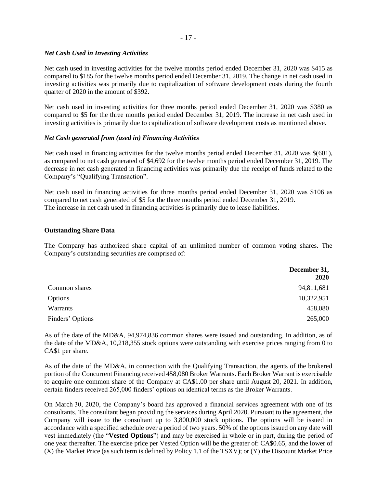# *Net Cash Used in Investing Activities*

Net cash used in investing activities for the twelve months period ended December 31, 2020 was \$415 as compared to \$185 for the twelve months period ended December 31, 2019. The change in net cash used in investing activities was primarily due to capitalization of software development costs during the fourth quarter of 2020 in the amount of \$392.

Net cash used in investing activities for three months period ended December 31, 2020 was \$380 as compared to \$5 for the three months period ended December 31, 2019. The increase in net cash used in investing activities is primarily due to capitalization of software development costs as mentioned above.

# *Net Cash generated from (used in) Financing Activities*

Net cash used in financing activities for the twelve months period ended December 31, 2020 was \$(601), as compared to net cash generated of \$4,692 for the twelve months period ended December 31, 2019. The decrease in net cash generated in financing activities was primarily due the receipt of funds related to the Company's "Qualifying Transaction".

Net cash used in financing activities for three months period ended December 31, 2020 was \$106 as compared to net cash generated of \$5 for the three months period ended December 31, 2019. The increase in net cash used in financing activities is primarily due to lease liabilities.

### **Outstanding Share Data**

The Company has authorized share capital of an unlimited number of common voting shares. The Company's outstanding securities are comprised of:

|                  | December 31,<br><b>2020</b> |
|------------------|-----------------------------|
| Common shares    | 94,811,681                  |
| Options          | 10,322,951                  |
| Warrants         | 458,080                     |
| Finders' Options | 265,000                     |

As of the date of the MD&A, 94,974,836 common shares were issued and outstanding. In addition, as of the date of the MD&A, 10,218,355 stock options were outstanding with exercise prices ranging from 0 to CA\$1 per share.

As of the date of the MD&A, in connection with the Qualifying Transaction, the agents of the brokered portion of the Concurrent Financing received 458,080 Broker Warrants. Each Broker Warrant is exercisable to acquire one common share of the Company at CA\$1.00 per share until August 20, 2021. In addition, certain finders received 265,000 finders' options on identical terms as the Broker Warrants.

On March 30, 2020, the Company's board has approved a financial services agreement with one of its consultants. The consultant began providing the services during April 2020. Pursuant to the agreement, the Company will issue to the consultant up to 3,800,000 stock options. The options will be issued in accordance with a specified schedule over a period of two years. 50% of the options issued on any date will vest immediately (the "**Vested Options**") and may be exercised in whole or in part, during the period of one year thereafter. The exercise price per Vested Option will be the greater of: CA\$0.65, and the lower of (X) the Market Price (as such term is defined by Policy 1.1 of the TSXV); or (Y) the Discount Market Price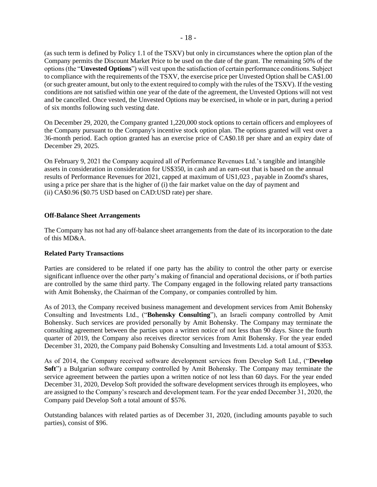(as such term is defined by Policy 1.1 of the TSXV) but only in circumstances where the option plan of the Company permits the Discount Market Price to be used on the date of the grant. The remaining 50% of the options (the "**Unvested Options**") will vest upon the satisfaction of certain performance conditions. Subject to compliance with the requirements of the TSXV, the exercise price per Unvested Option shall be CA\$1.00 (or such greater amount, but only to the extent required to comply with the rules of the TSXV). If the vesting conditions are not satisfied within one year of the date of the agreement, the Unvested Options will not vest and be cancelled. Once vested, the Unvested Options may be exercised, in whole or in part, during a period of six months following such vesting date.

On December 29, 2020, the Company granted 1,220,000 stock options to certain officers and employees of the Company pursuant to the Company's incentive stock option plan. The options granted will vest over a 36-month period. Each option granted has an exercise price of CA\$0.18 per share and an expiry date of December 29, 2025.

On February 9, 2021 the Company acquired all of Performance Revenues Ltd.'s tangible and intangible assets in consideration in consideration for US\$350, in cash and an earn-out that is based on the annual results of Performance Revenues for 2021, capped at maximum of US1,023 , payable in Zoomd's shares, using a price per share that is the higher of (i) the fair market value on the day of payment and (ii) CA\$0.96 (\$0.75 USD based on CAD:USD rate) per share.

# **Off-Balance Sheet Arrangements**

The Company has not had any off-balance sheet arrangements from the date of its incorporation to the date of this MD&A.

# **Related Party Transactions**

Parties are considered to be related if one party has the ability to control the other party or exercise significant influence over the other party's making of financial and operational decisions, or if both parties are controlled by the same third party. The Company engaged in the following related party transactions with Amit Bohensky, the Chairman of the Company, or companies controlled by him.

As of 2013, the Company received business management and development services from Amit Bohensky Consulting and Investments Ltd., ("**Bohensky Consulting**"), an Israeli company controlled by Amit Bohensky. Such services are provided personally by Amit Bohensky. The Company may terminate the consulting agreement between the parties upon a written notice of not less than 90 days. Since the fourth quarter of 2019, the Company also receives director services from Amit Bohensky. For the year ended December 31, 2020, the Company paid Bohensky Consulting and Investments Ltd. a total amount of \$353.

As of 2014, the Company received software development services from Develop Soft Ltd., ("**Develop Soft**") a Bulgarian software company controlled by Amit Bohensky. The Company may terminate the service agreement between the parties upon a written notice of not less than 60 days. For the year ended December 31, 2020, Develop Soft provided the software development services through its employees, who are assigned to the Company's research and development team. For the year ended December 31, 2020, the Company paid Develop Soft a total amount of \$576.

Outstanding balances with related parties as of December 31, 2020, (including amounts payable to such parties), consist of \$96.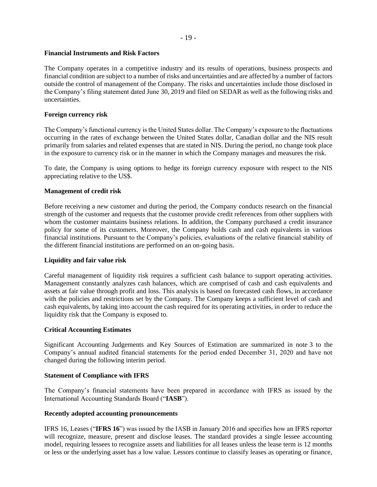### - 19 -

# **Financial Instruments and Risk Factors**

The Company operates in a competitive industry and its results of operations, business prospects and financial condition are subject to a number of risks and uncertainties and are affected by a number of factors outside the control of management of the Company. The risks and uncertainties include those disclosed in the Company's filing statement dated June 30, 2019 and filed on SEDAR as well as the following risks and uncertainties.

# **Foreign currency risk**

The Company's functional currency is the United States dollar. The Company's exposure to the fluctuations occurring in the rates of exchange between the United States dollar, Canadian dollar and the NIS result primarily from salaries and related expenses that are stated in NIS. During the period, no change took place in the exposure to currency risk or in the manner in which the Company manages and measures the risk.

To date, the Company is using options to hedge its foreign currency exposure with respect to the NIS appreciating relative to the US\$.

# **Management of credit risk**

Before receiving a new customer and during the period, the Company conducts research on the financial strength of the customer and requests that the customer provide credit references from other suppliers with whom the customer maintains business relations. In addition, the Company purchased a credit insurance policy for some of its customers. Moreover, the Company holds cash and cash equivalents in various financial institutions. Pursuant to the Company's policies, evaluations of the relative financial stability of the different financial institutions are performed on an on-going basis.

# **Liquidity and fair value risk**

Careful management of liquidity risk requires a sufficient cash balance to support operating activities. Management constantly analyzes cash balances, which are comprised of cash and cash equivalents and assets at fair value through profit and loss. This analysis is based on forecasted cash flows, in accordance with the policies and restrictions set by the Company. The Company keeps a sufficient level of cash and cash equivalents, by taking into account the cash required for its operating activities, in order to reduce the liquidity risk that the Company is exposed to.

# **Critical Accounting Estimates**

Significant Accounting Judgements and Key Sources of Estimation are summarized in note 3 to the Company's annual audited financial statements for the period ended December 31, 2020 and have not changed during the following interim period.

# **Statement of Compliance with IFRS**

The Company's financial statements have been prepared in accordance with IFRS as issued by the International Accounting Standards Board ("**IASB**").

### **Recently adopted accounting pronouncements**

IFRS 16, Leases ("**IFRS 16**") was issued by the IASB in January 2016 and specifies how an IFRS reporter will recognize, measure, present and disclose leases. The standard provides a single lessee accounting model, requiring lessees to recognize assets and liabilities for all leases unless the lease term is 12 months or less or the underlying asset has a low value. Lessors continue to classify leases as operating or finance,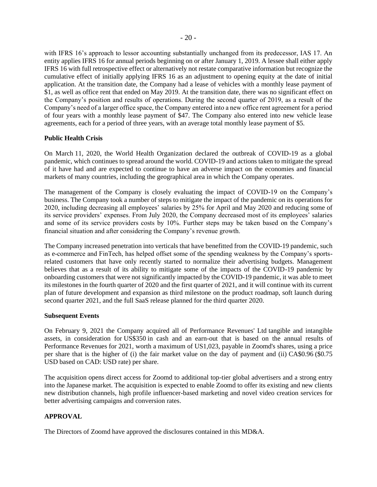with IFRS 16's approach to lessor accounting substantially unchanged from its predecessor, IAS 17. An entity applies IFRS 16 for annual periods beginning on or after January 1, 2019. A lessee shall either apply IFRS 16 with full retrospective effect or alternatively not restate comparative information but recognize the cumulative effect of initially applying IFRS 16 as an adjustment to opening equity at the date of initial application. At the transition date, the Company had a lease of vehicles with a monthly lease payment of \$1, as well as office rent that ended on May 2019. At the transition date, there was no significant effect on the Company's position and results of operations. During the second quarter of 2019, as a result of the Company's need of a larger office space, the Company entered into a new office rent agreement for a period of four years with a monthly lease payment of \$47. The Company also entered into new vehicle lease agreements, each for a period of three years, with an average total monthly lease payment of \$5.

# **Public Health Crisis**

On March 11, 2020, the World Health Organization declared the outbreak of COVID-19 as a global pandemic, which continues to spread around the world. COVID-19 and actions taken to mitigate the spread of it have had and are expected to continue to have an adverse impact on the economies and financial markets of many countries, including the geographical area in which the Company operates.

The management of the Company is closely evaluating the impact of COVID-19 on the Company's business. The Company took a number of steps to mitigate the impact of the pandemic on its operations for 2020, including decreasing all employees' salaries by 25% for April and May 2020 and reducing some of its service providers' expenses. From July 2020, the Company decreased most of its employees' salaries and some of its service providers costs by 10%. Further steps may be taken based on the Company's financial situation and after considering the Company's revenue growth.

The Company increased penetration into verticals that have benefitted from the COVID-19 pandemic, such as e-commerce and FinTech, has helped offset some of the spending weakness by the Company's sportsrelated customers that have only recently started to normalize their advertising budgets. Management believes that as a result of its ability to mitigate some of the impacts of the COVID-19 pandemic by onboarding customers that were not significantly impacted by the COVID-19 pandemic, it was able to meet its milestones in the fourth quarter of 2020 and the first quarter of 2021, and it will continue with its current plan of future development and expansion as third milestone on the product roadmap, soft launch during second quarter 2021, and the full SaaS release planned for the third quarter 2020.

### **Subsequent Events**

On February 9, 2021 the Company acquired all of Performance Revenues' Ltd tangible and intangible assets, in consideration for US\$350 in cash and an earn-out that is based on the annual results of Performance Revenues for 2021, worth a maximum of US1,023, payable in Zoomd's shares, using a price per share that is the higher of (i) the fair market value on the day of payment and (ii) CA\$0.96 (\$0.75 USD based on CAD: USD rate) per share.

The acquisition opens direct access for Zoomd to additional top-tier global advertisers and a strong entry into the Japanese market. The acquisition is expected to enable Zoomd to offer its existing and new clients new distribution channels, high profile influencer-based marketing and novel video creation services for better advertising campaigns and conversion rates.

# **APPROVAL**

The Directors of Zoomd have approved the disclosures contained in this MD&A.